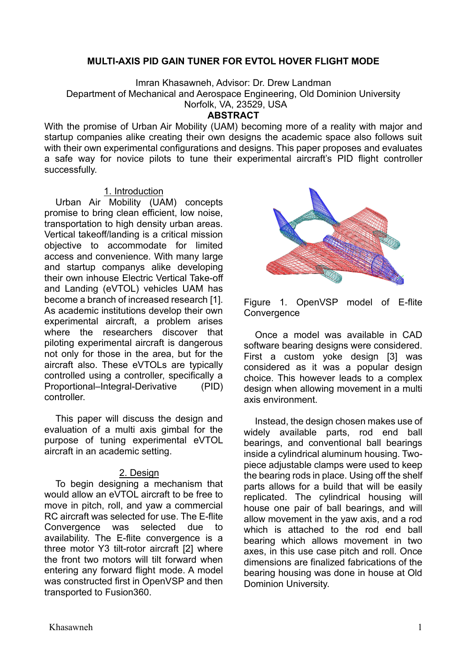## **MULTI-AXIS PID GAIN TUNER FOR EVTOL HOVER FLIGHT MODE**

Imran Khasawneh, Advisor: Dr. Drew Landman

Department of Mechanical and Aerospace Engineering, Old Dominion University

Norfolk, VA, 23529, USA

### **ABSTRACT**

With the promise of Urban Air Mobility (UAM) becoming more of a reality with major and startup companies alike creating their own designs the academic space also follows suit with their own experimental configurations and designs. This paper proposes and evaluates a safe way for novice pilots to tune their experimental aircraft's PID flight controller successfully.

#### 1. Introduction

Urban Air Mobility (UAM) concepts promise to bring clean efficient, low noise, transportation to high density urban areas. Vertical takeoff/landing is a critical mission objective to accommodate for limited access and convenience. With many large and startup companys alike developing their own inhouse Electric Vertical Take-off and Landing (eVTOL) vehicles UAM has become a branch of increased research [1]. As academic institutions develop their own experimental aircraft, a problem arises where the researchers discover that piloting experimental aircraft is dangerous not only for those in the area, but for the aircraft also. These eVTOLs are typically controlled using a controller, specifically a Proportional–Integral-Derivative (PID) controller.

This paper will discuss the design and evaluation of a multi axis gimbal for the purpose of tuning experimental eVTOL aircraft in an academic setting.

# 2. Design

To begin designing a mechanism that would allow an eVTOL aircraft to be free to move in pitch, roll, and yaw a commercial RC aircraft was selected for use. The E-flite Convergence was selected due to availability. The E-flite convergence is a three motor Y3 tilt-rotor aircraft [2] where the front two motors will tilt forward when entering any forward flight mode. A model was constructed first in OpenVSP and then transported to Fusion360.



Figure 1. OpenVSP model of E-flite **Convergence** 

Once a model was available in CAD software bearing designs were considered. First a custom yoke design [3] was considered as it was a popular design choice. This however leads to a complex design when allowing movement in a multi axis environment.

Instead, the design chosen makes use of widely available parts, rod end ball bearings, and conventional ball bearings inside a cylindrical aluminum housing. Twopiece adjustable clamps were used to keep the bearing rods in place. Using off the shelf parts allows for a build that will be easily replicated. The cylindrical housing will house one pair of ball bearings, and will allow movement in the yaw axis, and a rod which is attached to the rod end ball bearing which allows movement in two axes, in this use case pitch and roll. Once dimensions are finalized fabrications of the bearing housing was done in house at Old Dominion University.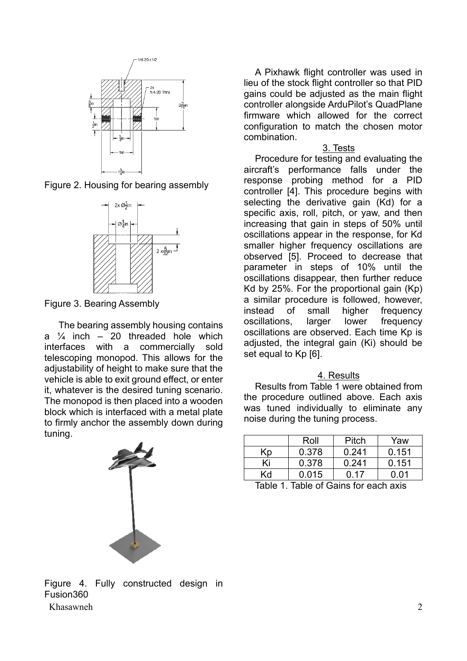





Figure 3. Bearing Assembly

 The bearing assembly housing contains a  $\frac{1}{4}$  inch – 20 threaded hole which interfaces with a commercially sold telescoping monopod. This allows for the adjustability of height to make sure that the vehicle is able to exit ground effect, or enter it, whatever is the desired tuning scenario. The monopod is then placed into a wooden block which is interfaced with a metal plate to firmly anchor the assembly down during tuning.



A Pixhawk flight controller was used in lieu of the stock flight controller so that PID gains could be adjusted as the main flight controller alongside ArduPilot's QuadPlane firmware which allowed for the correct configuration to match the chosen motor combination.

# 3. Tests

Procedure for testing and evaluating the aircraft's performance falls under the response probing method for a PID controller [4]. This procedure begins with selecting the derivative gain (Kd) for a specific axis, roll, pitch, or yaw, and then increasing that gain in steps of 50% until oscillations appear in the response, for Kd smaller higher frequency oscillations are observed [5]. Proceed to decrease that parameter in steps of 10% until the oscillations disappear, then further reduce Kd by 25%. For the proportional gain (Kp) a similar procedure is followed, however, instead of small higher frequency oscillations, larger lower frequency oscillations are observed. Each time Kp is adjusted, the integral gain (Ki) should be set equal to Kp [6].

# 4. Results

Results from Table 1 were obtained from the procedure outlined above. Each axis was tuned individually to eliminate any noise during the tuning process.

|    | Roll  | Pitch | Yaw   |
|----|-------|-------|-------|
| Kp | 0.378 | 0.241 | 0.151 |
| Ki | 0.378 | 0.241 | 0.151 |
| Κd | 0.015 | ი 17  | በ በ1  |

Table 1. Table of Gains for each axis

Khasawneh 2 Figure 4. Fully constructed design in Fusion360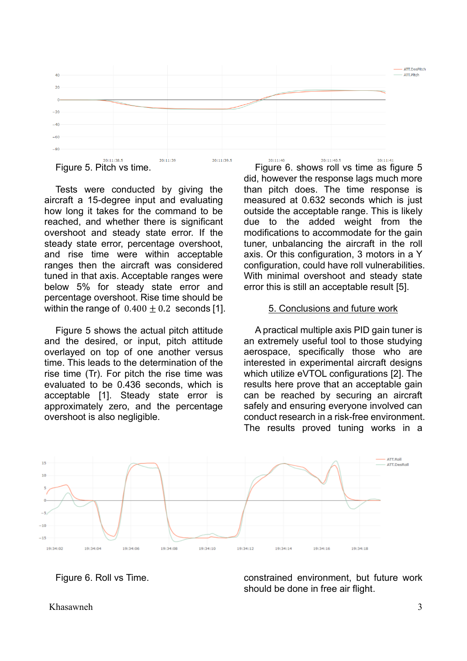

Figure 5. Pitch vs time.

Tests were conducted by giving the aircraft a 15-degree input and evaluating how long it takes for the command to be reached, and whether there is significant overshoot and steady state error. If the steady state error, percentage overshoot, and rise time were within acceptable ranges then the aircraft was considered tuned in that axis. Acceptable ranges were below 5% for steady state error and percentage overshoot. Rise time should be within the range of  $0.400 + 0.2$  seconds [1].

Figure 5 shows the actual pitch attitude and the desired, or input, pitch attitude overlayed on top of one another versus time. This leads to the determination of the rise time (Tr). For pitch the rise time was evaluated to be 0.436 seconds, which is acceptable [1]. Steady state error is approximately zero, and the percentage overshoot is also negligible.

Figure 6. shows roll vs time as figure 5 did, however the response lags much more than pitch does. The time response is measured at 0.632 seconds which is just outside the acceptable range. This is likely due to the added weight from the modifications to accommodate for the gain tuner, unbalancing the aircraft in the roll axis. Or this configuration, 3 motors in a Y configuration, could have roll vulnerabilities. With minimal overshoot and steady state error this is still an acceptable result [5].

## 5. Conclusions and future work

A practical multiple axis PID gain tuner is an extremely useful tool to those studying aerospace, specifically those who are interested in experimental aircraft designs which utilize eVTOL configurations [2]. The results here prove that an acceptable gain can be reached by securing an aircraft safely and ensuring everyone involved can conduct research in a risk-free environment. The results proved tuning works in a



Figure 6. Roll vs Time.

constrained environment, but future work should be done in free air flight.